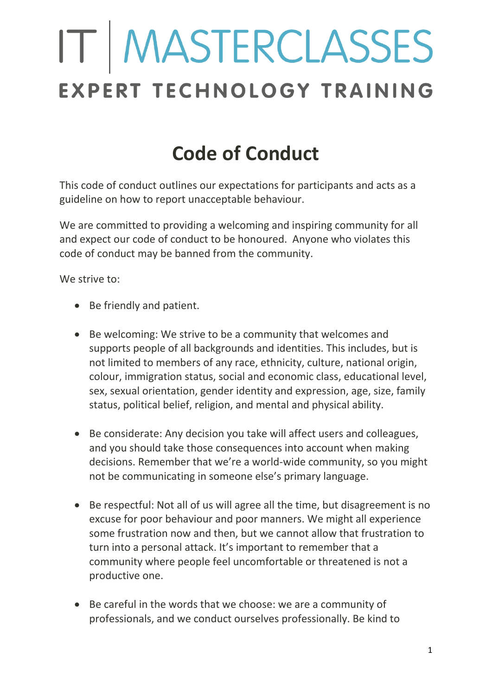# IT MASTERCLASSES EXPERT TECHNOLOGY TRAINING

# **Code of Conduct**

This code of conduct outlines our expectations for participants and acts as a guideline on how to report unacceptable behaviour.

We are committed to providing a welcoming and inspiring community for all and expect our code of conduct to be honoured. Anyone who violates this code of conduct may be banned from the community.

We strive to:

- Be friendly and patient.
- Be welcoming: We strive to be a community that welcomes and supports people of all backgrounds and identities. This includes, but is not limited to members of any race, ethnicity, culture, national origin, colour, immigration status, social and economic class, educational level, sex, sexual orientation, gender identity and expression, age, size, family status, political belief, religion, and mental and physical ability.
- Be considerate: Any decision you take will affect users and colleagues, and you should take those consequences into account when making decisions. Remember that we're a world-wide community, so you might not be communicating in someone else's primary language.
- Be respectful: Not all of us will agree all the time, but disagreement is no excuse for poor behaviour and poor manners. We might all experience some frustration now and then, but we cannot allow that frustration to turn into a personal attack. It's important to remember that a community where people feel uncomfortable or threatened is not a productive one.
- Be careful in the words that we choose: we are a community of professionals, and we conduct ourselves professionally. Be kind to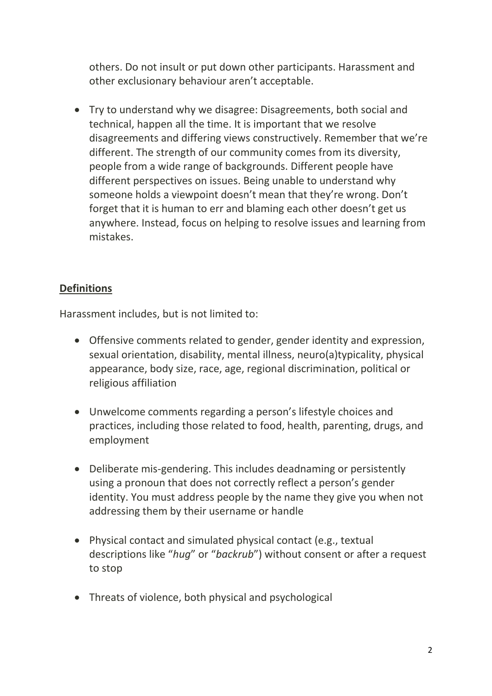others. Do not insult or put down other participants. Harassment and other exclusionary behaviour aren't acceptable.

• Try to understand why we disagree: Disagreements, both social and technical, happen all the time. It is important that we resolve disagreements and differing views constructively. Remember that we're different. The strength of our community comes from its diversity, people from a wide range of backgrounds. Different people have different perspectives on issues. Being unable to understand why someone holds a viewpoint doesn't mean that they're wrong. Don't forget that it is human to err and blaming each other doesn't get us anywhere. Instead, focus on helping to resolve issues and learning from mistakes.

#### **Definitions**

Harassment includes, but is not limited to:

- Offensive comments related to gender, gender identity and expression, sexual orientation, disability, mental illness, neuro(a)typicality, physical appearance, body size, race, age, regional discrimination, political or religious affiliation
- Unwelcome comments regarding a person's lifestyle choices and practices, including those related to food, health, parenting, drugs, and employment
- Deliberate mis-gendering. This includes deadnaming or persistently using a pronoun that does not correctly reflect a person's gender identity. You must address people by the name they give you when not addressing them by their username or handle
- Physical contact and simulated physical contact (e.g., textual descriptions like "*hug*" or "*backrub*") without consent or after a request to stop
- Threats of violence, both physical and psychological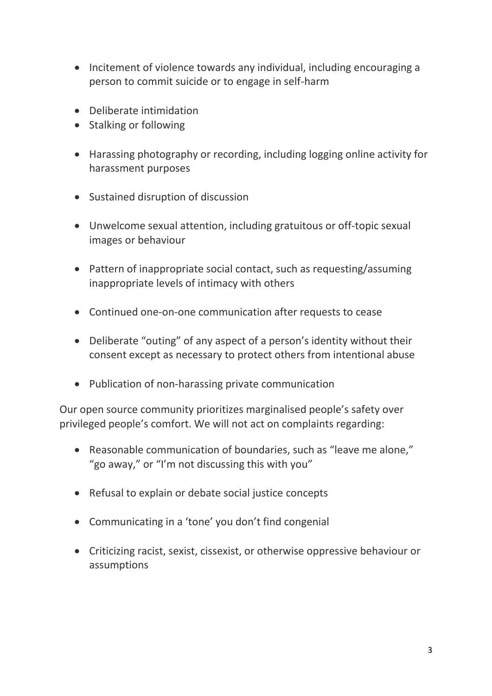- Incitement of violence towards any individual, including encouraging a person to commit suicide or to engage in self-harm
- Deliberate intimidation
- Stalking or following
- Harassing photography or recording, including logging online activity for harassment purposes
- Sustained disruption of discussion
- Unwelcome sexual attention, including gratuitous or off-topic sexual images or behaviour
- Pattern of inappropriate social contact, such as requesting/assuming inappropriate levels of intimacy with others
- Continued one-on-one communication after requests to cease
- Deliberate "outing" of any aspect of a person's identity without their consent except as necessary to protect others from intentional abuse
- Publication of non-harassing private communication

Our open source community prioritizes marginalised people's safety over privileged people's comfort. We will not act on complaints regarding:

- Reasonable communication of boundaries, such as "leave me alone," "go away," or "I'm not discussing this with you"
- Refusal to explain or debate social justice concepts
- Communicating in a 'tone' you don't find congenial
- Criticizing racist, sexist, cissexist, or otherwise oppressive behaviour or assumptions